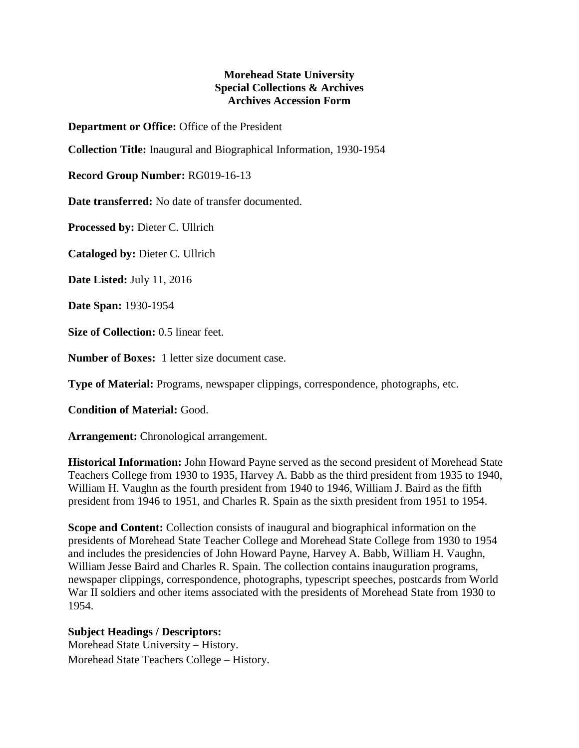## **Morehead State University Special Collections & Archives Archives Accession Form**

**Department or Office:** Office of the President

**Collection Title:** Inaugural and Biographical Information, 1930-1954

**Record Group Number:** RG019-16-13

**Date transferred:** No date of transfer documented.

**Processed by:** Dieter C. Ullrich

**Cataloged by:** Dieter C. Ullrich

**Date Listed:** July 11, 2016

**Date Span:** 1930-1954

**Size of Collection:** 0.5 linear feet.

**Number of Boxes:** 1 letter size document case.

**Type of Material:** Programs, newspaper clippings, correspondence, photographs, etc.

**Condition of Material:** Good.

**Arrangement:** Chronological arrangement.

**Historical Information:** John Howard Payne served as the second president of Morehead State Teachers College from 1930 to 1935, Harvey A. Babb as the third president from 1935 to 1940, William H. Vaughn as the fourth president from 1940 to 1946, William J. Baird as the fifth president from 1946 to 1951, and Charles R. Spain as the sixth president from 1951 to 1954.

**Scope and Content:** Collection consists of inaugural and biographical information on the presidents of Morehead State Teacher College and Morehead State College from 1930 to 1954 and includes the presidencies of John Howard Payne, Harvey A. Babb, William H. Vaughn, William Jesse Baird and Charles R. Spain. The collection contains inauguration programs, newspaper clippings, correspondence, photographs, typescript speeches, postcards from World War II soldiers and other items associated with the presidents of Morehead State from 1930 to 1954.

## **Subject Headings / Descriptors:**

Morehead State University – History. Morehead State Teachers College – History.